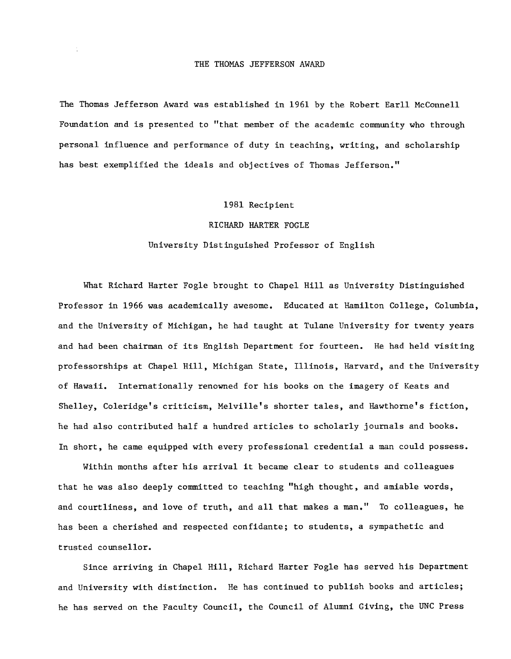The Thomas Jefferson Award was established in 1961 by the Robert Earll McConnell Foundation and is presented to "that member of the academic community who through personal influence and performance of duty in teaching, writing, and scholarship has best exemplified the ideals and objectives of Thomas Jefferson."

## 1981 Recipient

## RICHARD HARTER FOGLE

## University Distinguished Professor of English

What Richard Harter Fogle brought to Chapel Hill as University Distinguished Professor in 1966 was academically awesome. Educated at Hamilton College, Columbia, and the University of Michigan, he had taught at Tulane University for twenty years and had been chairman of its English Department for fourteen. He had held visiting professorships at Chapel Hill, Michigan State, Illinois, Harvard, and the University of Hawaii. Internationally renowned for his books on the imagery of Keats and Shelley, Coleridge's criticism, Melville's shorter tales, and Hawthorne's fiction, he had also contributed half a hundred articles to scholarly journals and books. In short, he came equipped with every professional credential a man could possess.

Within months after his arrival it became clear to students and colleagues that he was also deeply committed to teaching "high thought, and amiable words, and courtliness, and love of truth, and all that makes a man." To colleagues, he has been a cherished and respected confidante; to students, a sympathetic and trusted counsellor.

Since arriving in Chapel Hill, Richard Harter Fogle has served his Department and University with distinction. He has continued to publish books and articles; he has served on the Faculty Council, the Council of Alumni Giving, the UNC Press